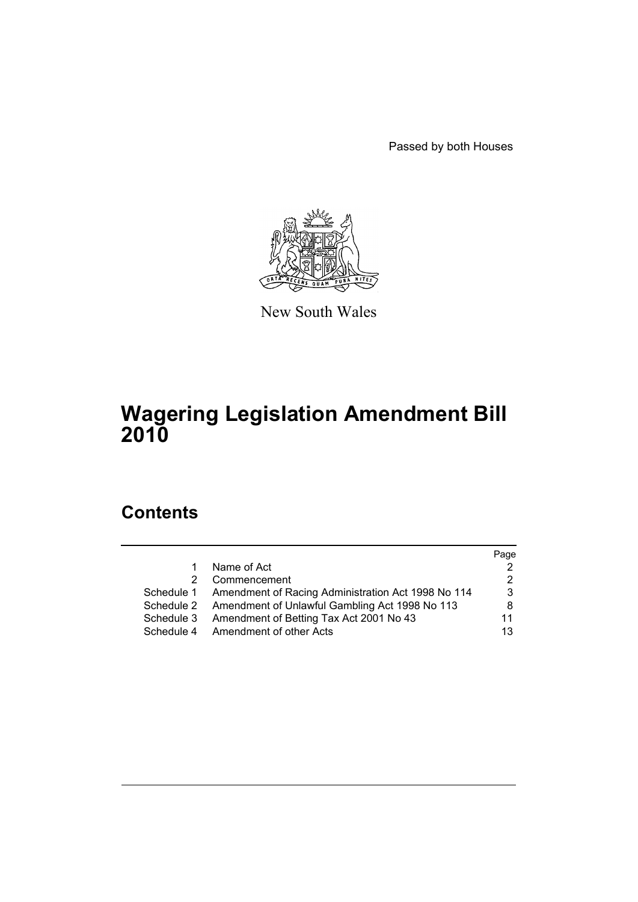Passed by both Houses



New South Wales

# **Wagering Legislation Amendment Bill 2010**

# **Contents**

|            |                                                               | Page |
|------------|---------------------------------------------------------------|------|
| 1.         | Name of Act                                                   |      |
| 2          | Commencement                                                  | 2    |
|            | Schedule 1 Amendment of Racing Administration Act 1998 No 114 | 3    |
|            | Schedule 2 Amendment of Unlawful Gambling Act 1998 No 113     | 8    |
| Schedule 3 | Amendment of Betting Tax Act 2001 No 43                       | 11   |
| Schedule 4 | Amendment of other Acts                                       | 13   |
|            |                                                               |      |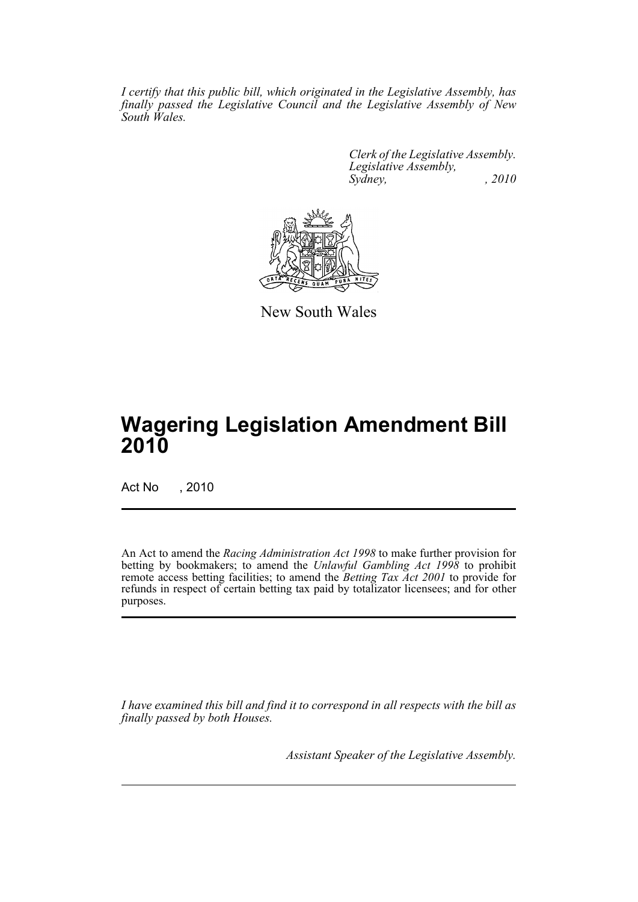*I certify that this public bill, which originated in the Legislative Assembly, has finally passed the Legislative Council and the Legislative Assembly of New South Wales.*

> *Clerk of the Legislative Assembly. Legislative Assembly, Sydney, , 2010*



New South Wales

# **Wagering Legislation Amendment Bill 2010**

Act No , 2010

An Act to amend the *Racing Administration Act 1998* to make further provision for betting by bookmakers; to amend the *Unlawful Gambling Act 1998* to prohibit remote access betting facilities; to amend the *Betting Tax Act 2001* to provide for refunds in respect of certain betting tax paid by totalizator licensees; and for other purposes.

*I have examined this bill and find it to correspond in all respects with the bill as finally passed by both Houses.*

*Assistant Speaker of the Legislative Assembly.*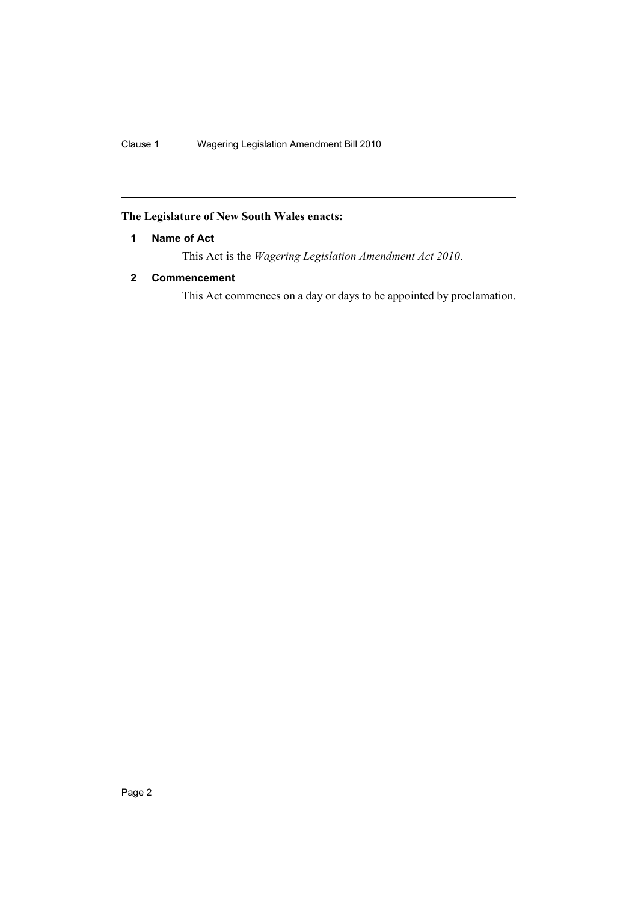# <span id="page-3-0"></span>**The Legislature of New South Wales enacts:**

# **1 Name of Act**

This Act is the *Wagering Legislation Amendment Act 2010*.

# <span id="page-3-1"></span>**2 Commencement**

This Act commences on a day or days to be appointed by proclamation.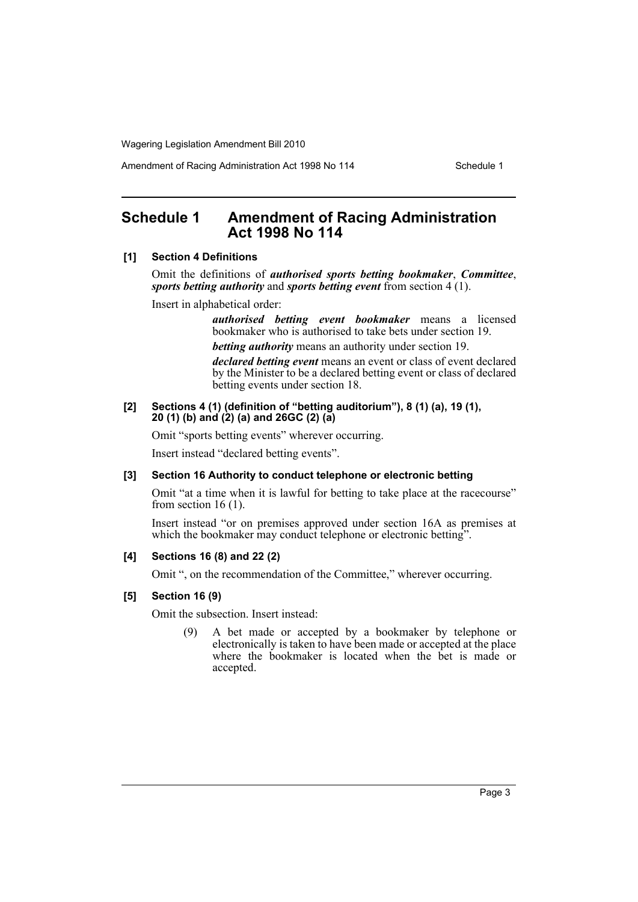Amendment of Racing Administration Act 1998 No 114 Schedule 1

# <span id="page-4-0"></span>**Schedule 1 Amendment of Racing Administration Act 1998 No 114**

#### **[1] Section 4 Definitions**

Omit the definitions of *authorised sports betting bookmaker*, *Committee*, *sports betting authority* and *sports betting event* from section 4 (1).

Insert in alphabetical order:

*authorised betting event bookmaker* means a licensed bookmaker who is authorised to take bets under section 19.

*betting authority* means an authority under section 19.

*declared betting event* means an event or class of event declared by the Minister to be a declared betting event or class of declared betting events under section 18.

#### **[2] Sections 4 (1) (definition of "betting auditorium"), 8 (1) (a), 19 (1), 20 (1) (b) and (2) (a) and 26GC (2) (a)**

Omit "sports betting events" wherever occurring.

Insert instead "declared betting events".

#### **[3] Section 16 Authority to conduct telephone or electronic betting**

Omit "at a time when it is lawful for betting to take place at the racecourse" from section 16 $(1)$ .

Insert instead "or on premises approved under section 16A as premises at which the bookmaker may conduct telephone or electronic betting".

# **[4] Sections 16 (8) and 22 (2)**

Omit ", on the recommendation of the Committee," wherever occurring.

#### **[5] Section 16 (9)**

Omit the subsection. Insert instead:

(9) A bet made or accepted by a bookmaker by telephone or electronically is taken to have been made or accepted at the place where the bookmaker is located when the bet is made or accepted.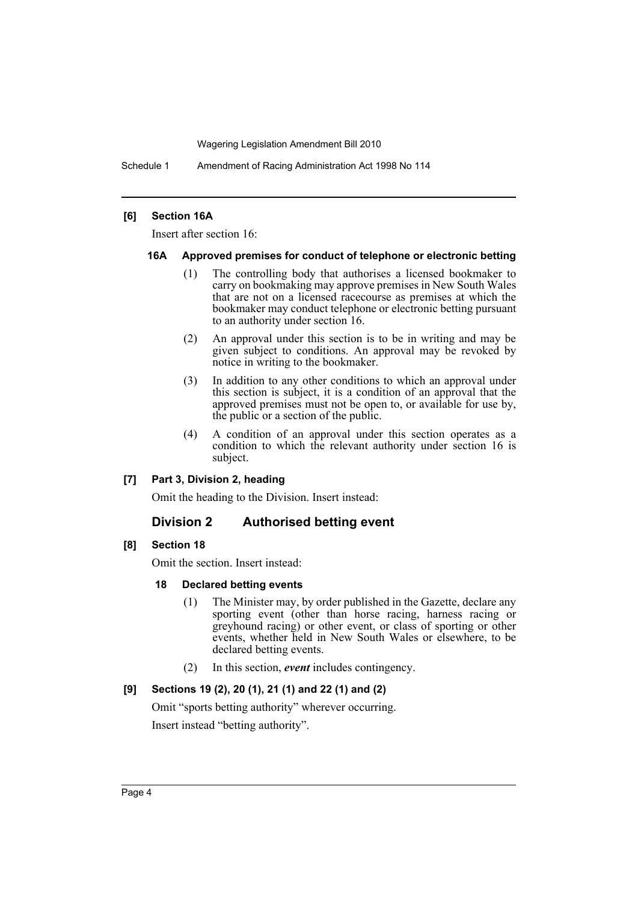Schedule 1 Amendment of Racing Administration Act 1998 No 114

#### **[6] Section 16A**

Insert after section 16:

#### **16A Approved premises for conduct of telephone or electronic betting**

- (1) The controlling body that authorises a licensed bookmaker to carry on bookmaking may approve premises in New South Wales that are not on a licensed racecourse as premises at which the bookmaker may conduct telephone or electronic betting pursuant to an authority under section 16.
- (2) An approval under this section is to be in writing and may be given subject to conditions. An approval may be revoked by notice in writing to the bookmaker.
- (3) In addition to any other conditions to which an approval under this section is subject, it is a condition of an approval that the approved premises must not be open to, or available for use by, the public or a section of the public.
- (4) A condition of an approval under this section operates as a condition to which the relevant authority under section 16 is subject.

#### **[7] Part 3, Division 2, heading**

Omit the heading to the Division. Insert instead:

## **Division 2 Authorised betting event**

# **[8] Section 18**

Omit the section. Insert instead:

#### **18 Declared betting events**

- (1) The Minister may, by order published in the Gazette, declare any sporting event (other than horse racing, harness racing or greyhound racing) or other event, or class of sporting or other events, whether held in New South Wales or elsewhere, to be declared betting events.
- (2) In this section, *event* includes contingency.

## **[9] Sections 19 (2), 20 (1), 21 (1) and 22 (1) and (2)**

Omit "sports betting authority" wherever occurring.

Insert instead "betting authority".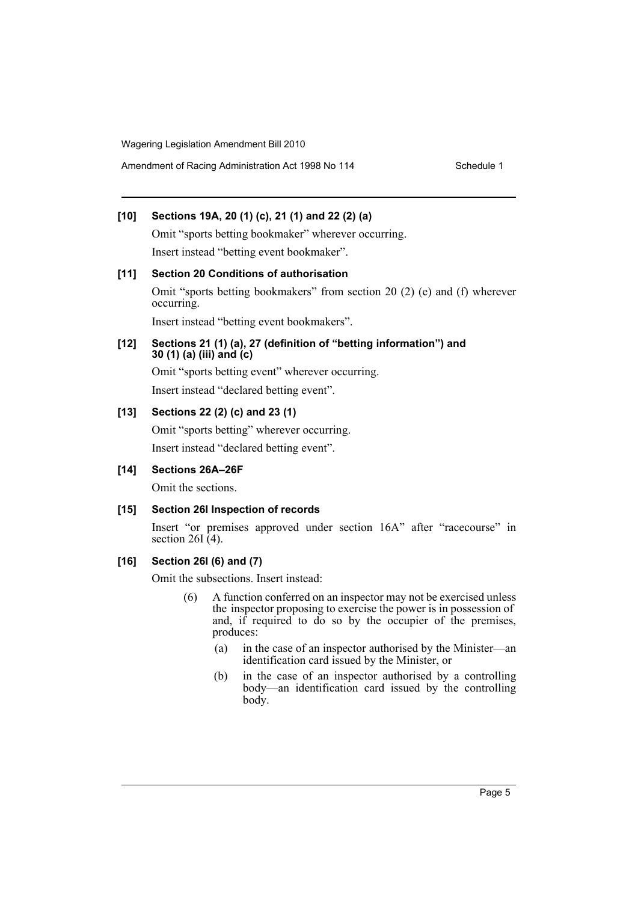Amendment of Racing Administration Act 1998 No 114 Schedule 1

# **[10] Sections 19A, 20 (1) (c), 21 (1) and 22 (2) (a)**

Omit "sports betting bookmaker" wherever occurring. Insert instead "betting event bookmaker".

# **[11] Section 20 Conditions of authorisation** Omit "sports betting bookmakers" from section 20 (2) (e) and (f) wherever occurring.

Insert instead "betting event bookmakers".

# **[12] Sections 21 (1) (a), 27 (definition of "betting information") and 30 (1) (a) (iii) and (c)**

Omit "sports betting event" wherever occurring.

Insert instead "declared betting event".

# **[13] Sections 22 (2) (c) and 23 (1)**

Omit "sports betting" wherever occurring. Insert instead "declared betting event".

# **[14] Sections 26A–26F**

Omit the sections.

# **[15] Section 26I Inspection of records**

Insert "or premises approved under section 16A" after "racecourse" in section 26I $(4)$ .

# **[16] Section 26I (6) and (7)**

Omit the subsections. Insert instead:

- (6) A function conferred on an inspector may not be exercised unless the inspector proposing to exercise the power is in possession of and, if required to do so by the occupier of the premises, produces:
	- (a) in the case of an inspector authorised by the Minister—an identification card issued by the Minister, or
	- (b) in the case of an inspector authorised by a controlling body—an identification card issued by the controlling body.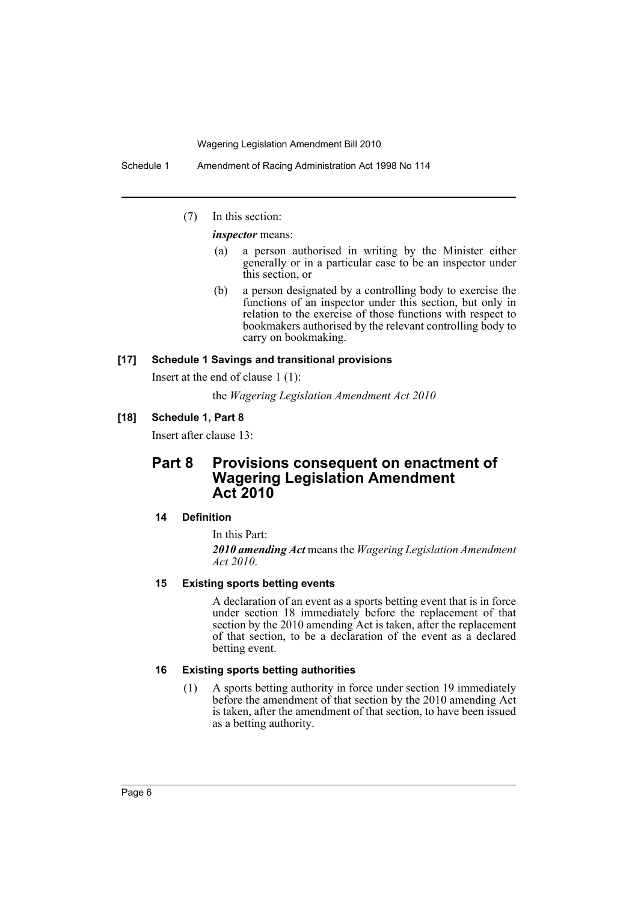Schedule 1 Amendment of Racing Administration Act 1998 No 114

(7) In this section:

*inspector* means:

- (a) a person authorised in writing by the Minister either generally or in a particular case to be an inspector under this section, or
- (b) a person designated by a controlling body to exercise the functions of an inspector under this section, but only in relation to the exercise of those functions with respect to bookmakers authorised by the relevant controlling body to carry on bookmaking.

# **[17] Schedule 1 Savings and transitional provisions**

Insert at the end of clause 1 (1):

the *Wagering Legislation Amendment Act 2010*

#### **[18] Schedule 1, Part 8**

Insert after clause 13:

# **Part 8 Provisions consequent on enactment of Wagering Legislation Amendment Act 2010**

#### **14 Definition**

In this Part:

*2010 amending Act* means the *Wagering Legislation Amendment Act 2010*.

#### **15 Existing sports betting events**

A declaration of an event as a sports betting event that is in force under section 18 immediately before the replacement of that section by the 2010 amending Act is taken, after the replacement of that section, to be a declaration of the event as a declared betting event.

# **16 Existing sports betting authorities**

(1) A sports betting authority in force under section 19 immediately before the amendment of that section by the 2010 amending Act is taken, after the amendment of that section, to have been issued as a betting authority.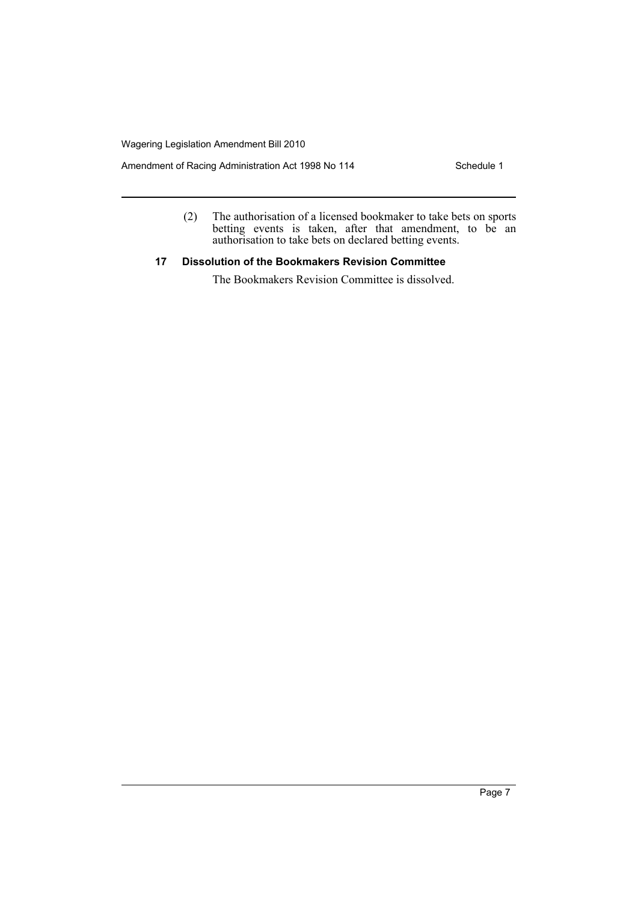Amendment of Racing Administration Act 1998 No 114 Schedule 1

(2) The authorisation of a licensed bookmaker to take bets on sports betting events is taken, after that amendment, to be an authorisation to take bets on declared betting events.

## **17 Dissolution of the Bookmakers Revision Committee**

The Bookmakers Revision Committee is dissolved.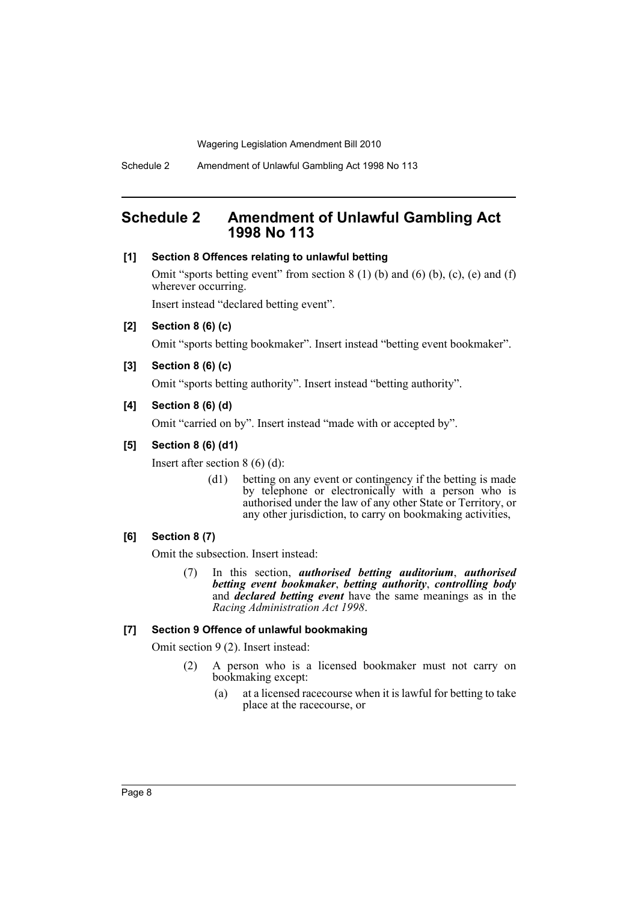# <span id="page-9-0"></span>**Schedule 2 Amendment of Unlawful Gambling Act 1998 No 113**

#### **[1] Section 8 Offences relating to unlawful betting**

Omit "sports betting event" from section  $8(1)(b)$  and  $(6)(b)$ ,  $(c)$ ,  $(e)$  and  $(f)$ wherever occurring.

Insert instead "declared betting event".

**[2] Section 8 (6) (c)**

Omit "sports betting bookmaker". Insert instead "betting event bookmaker".

**[3] Section 8 (6) (c)**

Omit "sports betting authority". Insert instead "betting authority".

#### **[4] Section 8 (6) (d)**

Omit "carried on by". Insert instead "made with or accepted by".

#### **[5] Section 8 (6) (d1)**

Insert after section 8 (6) (d):

(d1) betting on any event or contingency if the betting is made by telephone or electronically with a person who is authorised under the law of any other State or Territory, or any other jurisdiction, to carry on bookmaking activities,

#### **[6] Section 8 (7)**

Omit the subsection. Insert instead:

(7) In this section, *authorised betting auditorium*, *authorised betting event bookmaker*, *betting authority*, *controlling body* and *declared betting event* have the same meanings as in the *Racing Administration Act 1998*.

#### **[7] Section 9 Offence of unlawful bookmaking**

Omit section 9 (2). Insert instead:

- (2) A person who is a licensed bookmaker must not carry on bookmaking except:
	- (a) at a licensed racecourse when it is lawful for betting to take place at the racecourse, or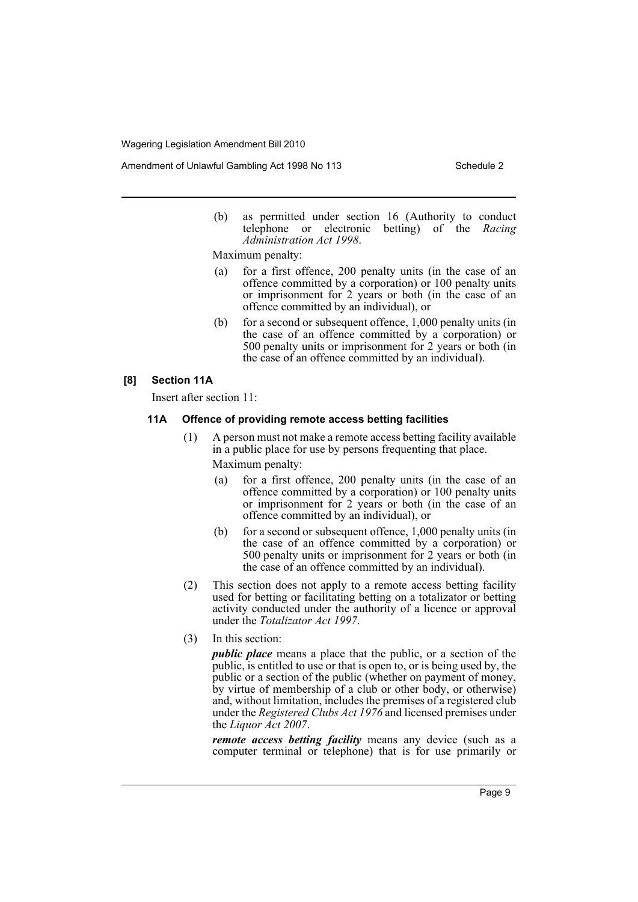Amendment of Unlawful Gambling Act 1998 No 113 Schedule 2

(b) as permitted under section 16 (Authority to conduct telephone or electronic betting) of the *Racing Administration Act 1998*.

Maximum penalty:

- (a) for a first offence, 200 penalty units (in the case of an offence committed by a corporation) or 100 penalty units or imprisonment for 2 years or both (in the case of an offence committed by an individual), or
- (b) for a second or subsequent offence, 1,000 penalty units (in the case of an offence committed by a corporation) or 500 penalty units or imprisonment for 2 years or both (in the case of an offence committed by an individual).

#### **[8] Section 11A**

Insert after section 11:

#### **11A Offence of providing remote access betting facilities**

- (1) A person must not make a remote access betting facility available in a public place for use by persons frequenting that place. Maximum penalty:
	- (a) for a first offence, 200 penalty units (in the case of an offence committed by a corporation) or 100 penalty units or imprisonment for 2 years or both (in the case of an offence committed by an individual), or
	- (b) for a second or subsequent offence, 1,000 penalty units (in the case of an offence committed by a corporation) or 500 penalty units or imprisonment for 2 years or both (in the case of an offence committed by an individual).
- (2) This section does not apply to a remote access betting facility used for betting or facilitating betting on a totalizator or betting activity conducted under the authority of a licence or approval under the *Totalizator Act 1997*.
- (3) In this section:

*public place* means a place that the public, or a section of the public, is entitled to use or that is open to, or is being used by, the public or a section of the public (whether on payment of money, by virtue of membership of a club or other body, or otherwise) and, without limitation, includes the premises of a registered club under the *Registered Clubs Act 1976* and licensed premises under the *Liquor Act 2007*.

*remote access betting facility* means any device (such as a computer terminal or telephone) that is for use primarily or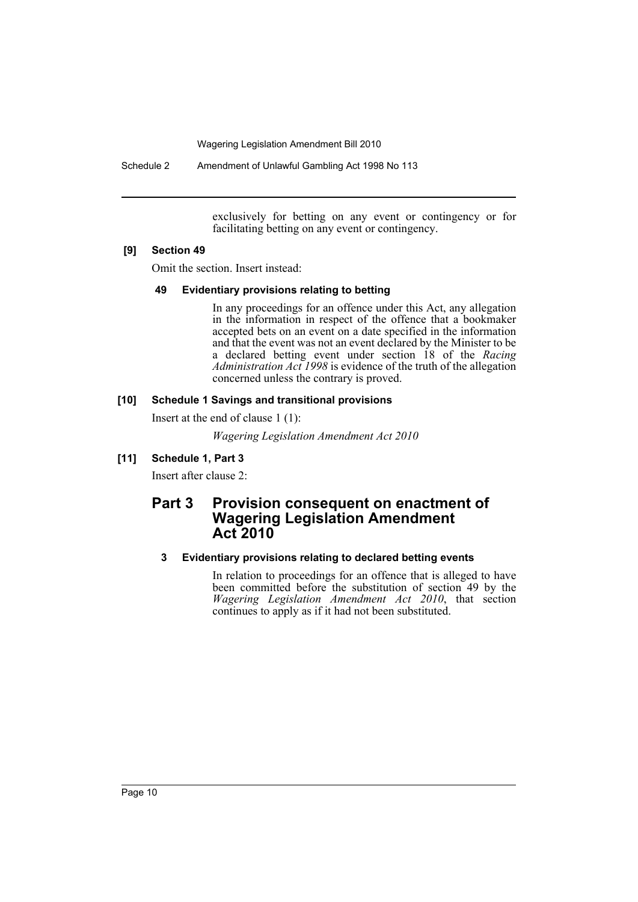Schedule 2 Amendment of Unlawful Gambling Act 1998 No 113

exclusively for betting on any event or contingency or for facilitating betting on any event or contingency.

#### **[9] Section 49**

Omit the section. Insert instead:

#### **49 Evidentiary provisions relating to betting**

In any proceedings for an offence under this Act, any allegation in the information in respect of the offence that a bookmaker accepted bets on an event on a date specified in the information and that the event was not an event declared by the Minister to be a declared betting event under section 18 of the *Racing Administration Act 1998* is evidence of the truth of the allegation concerned unless the contrary is proved.

## **[10] Schedule 1 Savings and transitional provisions**

Insert at the end of clause 1 (1):

*Wagering Legislation Amendment Act 2010*

## **[11] Schedule 1, Part 3**

Insert after clause 2:

# **Part 3 Provision consequent on enactment of Wagering Legislation Amendment Act 2010**

# **3 Evidentiary provisions relating to declared betting events**

In relation to proceedings for an offence that is alleged to have been committed before the substitution of section 49 by the *Wagering Legislation Amendment Act 2010*, that section continues to apply as if it had not been substituted.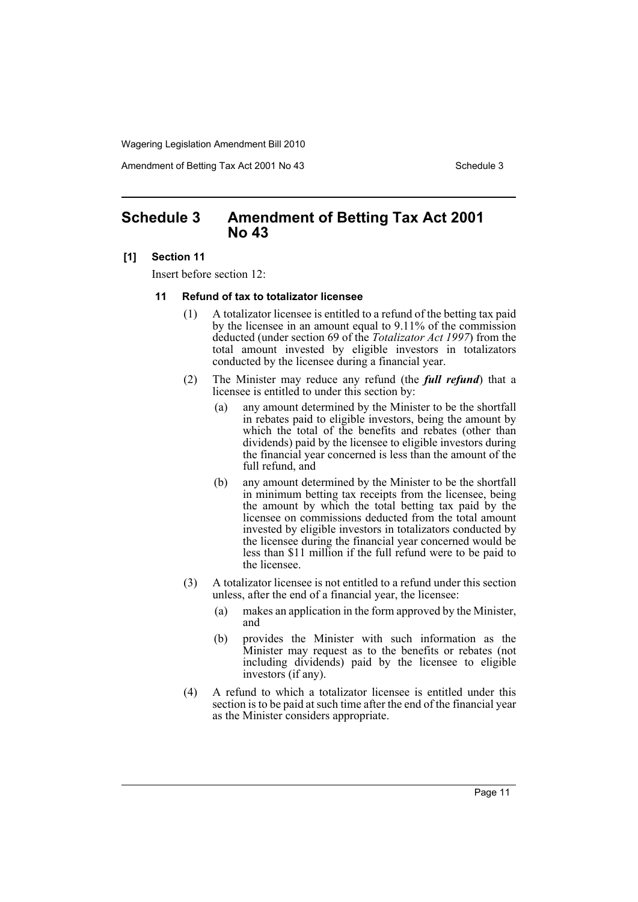Amendment of Betting Tax Act 2001 No 43 Schedule 3

# <span id="page-12-0"></span>**Schedule 3 Amendment of Betting Tax Act 2001 No 43**

#### **[1] Section 11**

Insert before section 12:

#### **11 Refund of tax to totalizator licensee**

- (1) A totalizator licensee is entitled to a refund of the betting tax paid by the licensee in an amount equal to 9.11% of the commission deducted (under section 69 of the *Totalizator Act 1997*) from the total amount invested by eligible investors in totalizators conducted by the licensee during a financial year.
- (2) The Minister may reduce any refund (the *full refund*) that a licensee is entitled to under this section by:
	- (a) any amount determined by the Minister to be the shortfall in rebates paid to eligible investors, being the amount by which the total of the benefits and rebates (other than dividends) paid by the licensee to eligible investors during the financial year concerned is less than the amount of the full refund, and
	- (b) any amount determined by the Minister to be the shortfall in minimum betting tax receipts from the licensee, being the amount by which the total betting tax paid by the licensee on commissions deducted from the total amount invested by eligible investors in totalizators conducted by the licensee during the financial year concerned would be less than \$11 million if the full refund were to be paid to the licensee.
- (3) A totalizator licensee is not entitled to a refund under this section unless, after the end of a financial year, the licensee:
	- (a) makes an application in the form approved by the Minister, and
	- (b) provides the Minister with such information as the Minister may request as to the benefits or rebates (not including dividends) paid by the licensee to eligible investors (if any).
- (4) A refund to which a totalizator licensee is entitled under this section is to be paid at such time after the end of the financial year as the Minister considers appropriate.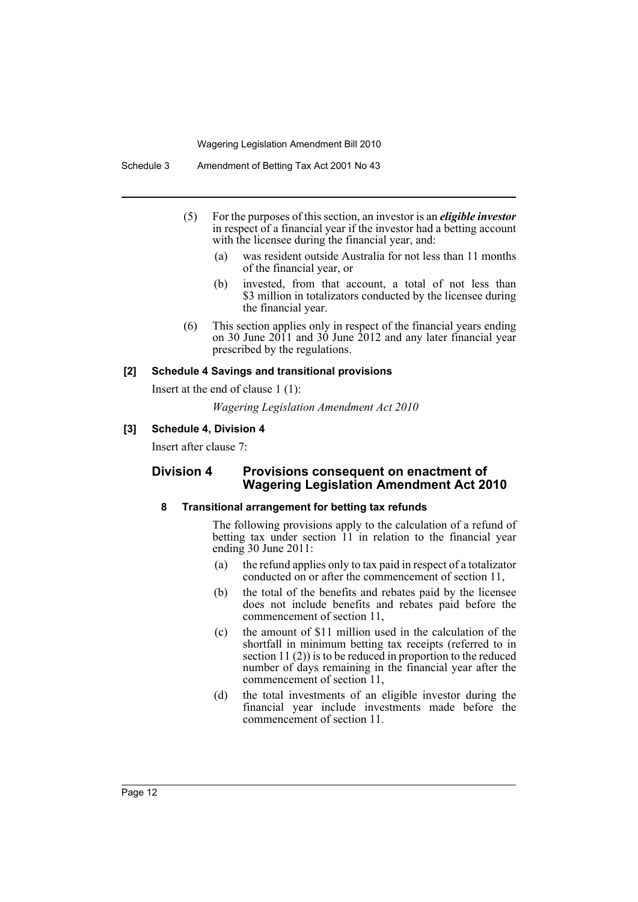- (5) For the purposes of this section, an investor is an *eligible investor* in respect of a financial year if the investor had a betting account with the licensee during the financial year, and:
	- (a) was resident outside Australia for not less than 11 months of the financial year, or
	- (b) invested, from that account, a total of not less than \$3 million in totalizators conducted by the licensee during the financial year.
- (6) This section applies only in respect of the financial years ending on 30 June  $2011$  and  $30$  June  $2012$  and any later financial year prescribed by the regulations.

#### **[2] Schedule 4 Savings and transitional provisions**

Insert at the end of clause 1 (1):

*Wagering Legislation Amendment Act 2010*

#### **[3] Schedule 4, Division 4**

Insert after clause 7:

# **Division 4 Provisions consequent on enactment of Wagering Legislation Amendment Act 2010**

#### **8 Transitional arrangement for betting tax refunds**

The following provisions apply to the calculation of a refund of betting tax under section 11 in relation to the financial year ending 30 June 2011:

- (a) the refund applies only to tax paid in respect of a totalizator conducted on or after the commencement of section 11,
- (b) the total of the benefits and rebates paid by the licensee does not include benefits and rebates paid before the commencement of section 11,
- (c) the amount of \$11 million used in the calculation of the shortfall in minimum betting tax receipts (referred to in section 11 (2)) is to be reduced in proportion to the reduced number of days remaining in the financial year after the commencement of section 11,
- (d) the total investments of an eligible investor during the financial year include investments made before the commencement of section 11.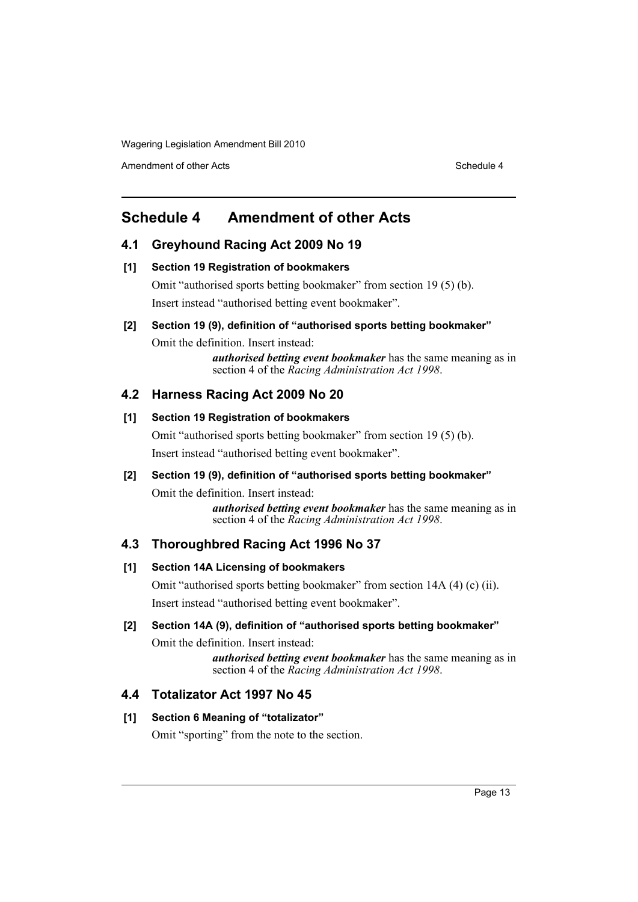Amendment of other Acts **Schedule 4** and the Acts Schedule 4 and the Schedule 4 and the Schedule 4

# <span id="page-14-0"></span>**Schedule 4 Amendment of other Acts**

# **4.1 Greyhound Racing Act 2009 No 19**

#### **[1] Section 19 Registration of bookmakers**

Omit "authorised sports betting bookmaker" from section 19 (5) (b). Insert instead "authorised betting event bookmaker".

## **[2] Section 19 (9), definition of "authorised sports betting bookmaker"**

Omit the definition. Insert instead:

*authorised betting event bookmaker* has the same meaning as in section 4 of the *Racing Administration Act 1998*.

# **4.2 Harness Racing Act 2009 No 20**

## **[1] Section 19 Registration of bookmakers**

Omit "authorised sports betting bookmaker" from section 19 (5) (b). Insert instead "authorised betting event bookmaker".

## **[2] Section 19 (9), definition of "authorised sports betting bookmaker"**

Omit the definition. Insert instead: *authorised betting event bookmaker* has the same meaning as in section 4 of the *Racing Administration Act 1998*.

# **4.3 Thoroughbred Racing Act 1996 No 37**

## **[1] Section 14A Licensing of bookmakers**

Omit "authorised sports betting bookmaker" from section 14A (4) (c) (ii). Insert instead "authorised betting event bookmaker".

# **[2] Section 14A (9), definition of "authorised sports betting bookmaker"**

Omit the definition. Insert instead:

*authorised betting event bookmaker* has the same meaning as in section 4 of the *Racing Administration Act 1998*.

# **4.4 Totalizator Act 1997 No 45**

## **[1] Section 6 Meaning of "totalizator"**

Omit "sporting" from the note to the section.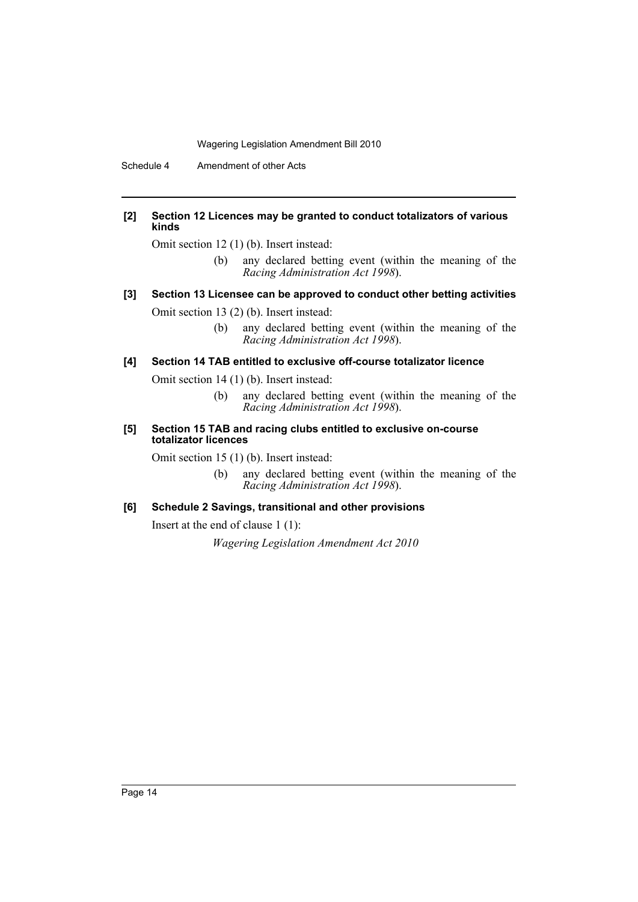Schedule 4 Amendment of other Acts

#### **[2] Section 12 Licences may be granted to conduct totalizators of various kinds**

Omit section 12 (1) (b). Insert instead:

(b) any declared betting event (within the meaning of the *Racing Administration Act 1998*).

# **[3] Section 13 Licensee can be approved to conduct other betting activities**

Omit section 13 (2) (b). Insert instead:

(b) any declared betting event (within the meaning of the *Racing Administration Act 1998*).

# **[4] Section 14 TAB entitled to exclusive off-course totalizator licence**

Omit section 14 (1) (b). Insert instead:

- (b) any declared betting event (within the meaning of the *Racing Administration Act 1998*).
- **[5] Section 15 TAB and racing clubs entitled to exclusive on-course totalizator licences**

Omit section 15 (1) (b). Insert instead:

(b) any declared betting event (within the meaning of the *Racing Administration Act 1998*).

## **[6] Schedule 2 Savings, transitional and other provisions**

Insert at the end of clause 1 (1):

*Wagering Legislation Amendment Act 2010*